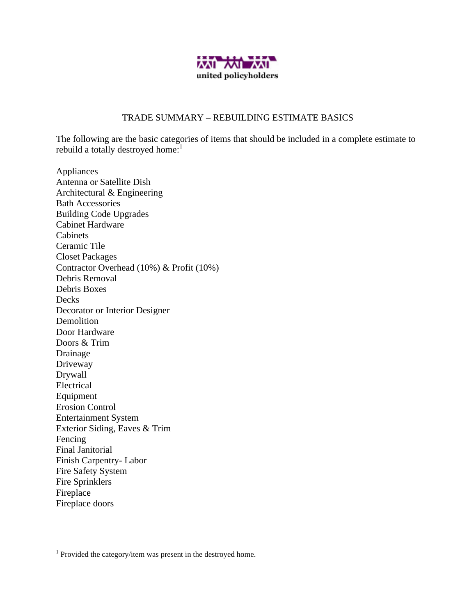

## TRADE SUMMARY – REBUILDING ESTIMATE BASICS

The following are the basic categories of items that should be included in a complete estimate to rebuild a totally destroyed home:<sup>1</sup>

Appliances Antenna or Satellite Dish Architectural & Engineering Bath Accessories Building Code Upgrades Cabinet Hardware Cabinets Ceramic Tile Closet Packages Contractor Overhead (10%) & Profit (10%) Debris Removal Debris Boxes Decks Decorator or Interior Designer Demolition Door Hardware Doors & Trim Drainage Driveway Drywall Electrical Equipment Erosion Control Entertainment System Exterior Siding, Eaves & Trim Fencing Final Janitorial Finish Carpentry- Labor Fire Safety System Fire Sprinklers Fireplace Fireplace doors

 $\overline{a}$ 

 $1$  Provided the category/item was present in the destroyed home.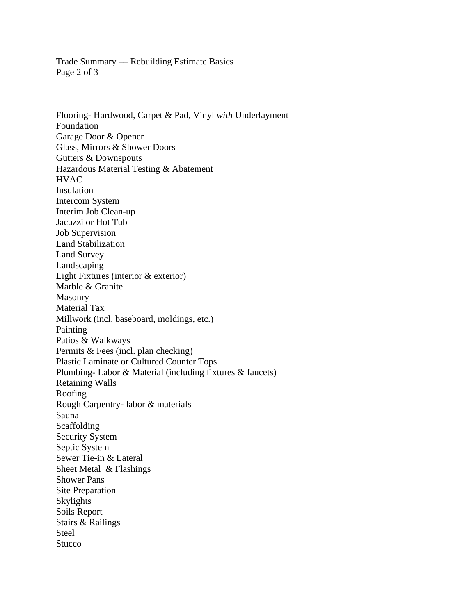Trade Summary –– Rebuilding Estimate Basics Page 2 of 3

Flooring- Hardwood, Carpet & Pad, Vinyl *with* Underlayment Foundation Garage Door & Opener Glass, Mirrors & Shower Doors Gutters & Downspouts Hazardous Material Testing & Abatement **HVAC** Insulation Intercom System Interim Job Clean-up Jacuzzi or Hot Tub Job Supervision Land Stabilization Land Survey Landscaping Light Fixtures (interior & exterior) Marble & Granite Masonry Material Tax Millwork (incl. baseboard, moldings, etc.) Painting Patios & Walkways Permits & Fees (incl. plan checking) Plastic Laminate or Cultured Counter Tops Plumbing- Labor & Material (including fixtures & faucets) Retaining Walls Roofing Rough Carpentry- labor & materials Sauna Scaffolding Security System Septic System Sewer Tie-in & Lateral Sheet Metal & Flashings Shower Pans Site Preparation Skylights Soils Report Stairs & Railings Steel **Stucco**